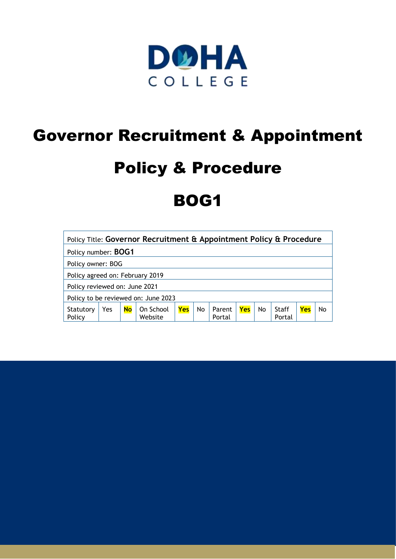

# Governor Recruitment & Appointment

# Policy & Procedure

# BOG1

| Policy Title: Governor Recruitment & Appointment Policy & Procedure |     |           |                      |     |    |                  |     |    |                 |     |    |
|---------------------------------------------------------------------|-----|-----------|----------------------|-----|----|------------------|-----|----|-----------------|-----|----|
| Policy number: <b>BOG1</b>                                          |     |           |                      |     |    |                  |     |    |                 |     |    |
| Policy owner: BOG                                                   |     |           |                      |     |    |                  |     |    |                 |     |    |
| Policy agreed on: February 2019                                     |     |           |                      |     |    |                  |     |    |                 |     |    |
| Policy reviewed on: June 2021                                       |     |           |                      |     |    |                  |     |    |                 |     |    |
| Policy to be reviewed on: June 2023                                 |     |           |                      |     |    |                  |     |    |                 |     |    |
| Statutory<br>Policy                                                 | Yes | <b>No</b> | On School<br>Website | Yes | No | Parent<br>Portal | Yes | No | Staff<br>Portal | Yes | No |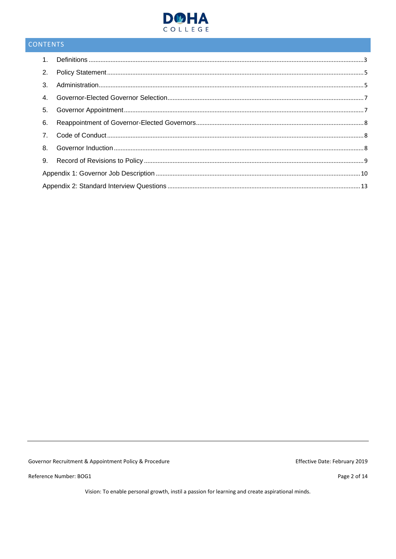

# CONTENTS

Governor Recruitment & Appointment Policy & Procedure

Reference Number: BOG1

Effective Date: February 2019

Page 2 of 14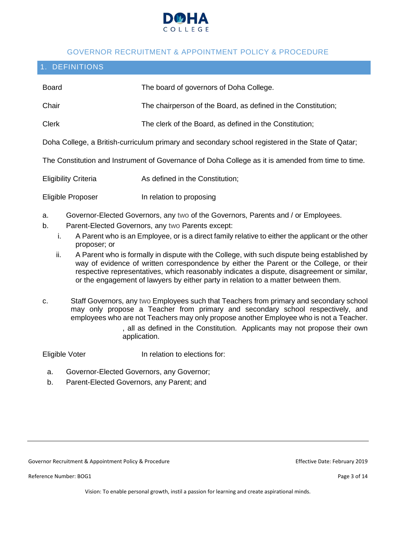

#### GOVERNOR RECRUITMENT & APPOINTMENT POLICY & PROCEDURE

### <span id="page-2-0"></span>1. DEFINITIONS

| <b>Board</b>                          | The board of governors of Doha College.                                                                                                                                                                                                                                                                                                                                                                                                                                                                                                                                                                                   |  |  |  |  |
|---------------------------------------|---------------------------------------------------------------------------------------------------------------------------------------------------------------------------------------------------------------------------------------------------------------------------------------------------------------------------------------------------------------------------------------------------------------------------------------------------------------------------------------------------------------------------------------------------------------------------------------------------------------------------|--|--|--|--|
| Chair                                 | The chairperson of the Board, as defined in the Constitution;                                                                                                                                                                                                                                                                                                                                                                                                                                                                                                                                                             |  |  |  |  |
| <b>Clerk</b>                          | The clerk of the Board, as defined in the Constitution;                                                                                                                                                                                                                                                                                                                                                                                                                                                                                                                                                                   |  |  |  |  |
|                                       | Doha College, a British-curriculum primary and secondary school registered in the State of Qatar;                                                                                                                                                                                                                                                                                                                                                                                                                                                                                                                         |  |  |  |  |
|                                       | The Constitution and Instrument of Governance of Doha College as it is amended from time to time.                                                                                                                                                                                                                                                                                                                                                                                                                                                                                                                         |  |  |  |  |
| <b>Eligibility Criteria</b>           | As defined in the Constitution;                                                                                                                                                                                                                                                                                                                                                                                                                                                                                                                                                                                           |  |  |  |  |
| Eligible Proposer                     | In relation to proposing                                                                                                                                                                                                                                                                                                                                                                                                                                                                                                                                                                                                  |  |  |  |  |
| a.<br>b.<br>i.<br>proposer; or<br>ii. | Governor-Elected Governors, any two of the Governors, Parents and / or Employees.<br>Parent-Elected Governors, any two Parents except:<br>A Parent who is an Employee, or is a direct family relative to either the applicant or the other<br>A Parent who is formally in dispute with the College, with such dispute being established by<br>way of evidence of written correspondence by either the Parent or the College, or their<br>respective representatives, which reasonably indicates a dispute, disagreement or similar,<br>or the engagement of lawyers by either party in relation to a matter between them. |  |  |  |  |
| c.                                    | Staff Governors, any two Employees such that Teachers from primary and secondary school<br>may only propose a Teacher from primary and secondary school respectively, and<br>employees who are not Teachers may only propose another Employee who is not a Teacher.<br>, all as defined in the Constitution. Applicants may not propose their own<br>application.                                                                                                                                                                                                                                                         |  |  |  |  |

Eligible Voter **In relation to elections for:** 

- a. Governor-Elected Governors, any Governor;
- b. Parent-Elected Governors, any Parent; and

Governor Recruitment & Appointment Policy & Procedure **Effective Date: February 2019** Effective Date: February 2019

Reference Number: BOG1 Page 3 of 14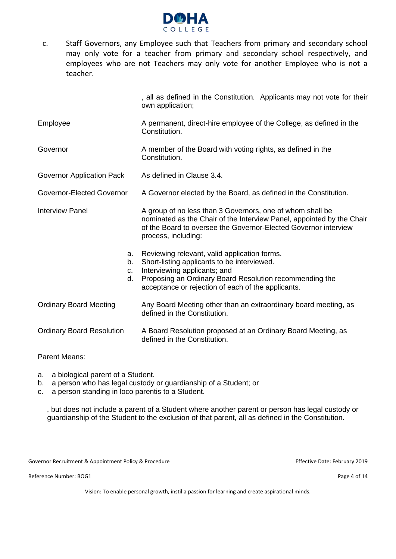

c. Staff Governors, any Employee such that Teachers from primary and secondary school may only vote for a teacher from primary and secondary school respectively, and employees who are not Teachers may only vote for another Employee who is not a teacher.

, all as defined in the Constitution. Applicants may not vote for their own application; Employee A permanent, direct-hire employee of the College, as defined in the **Constitution** Governor **A** member of the Board with voting rights, as defined in the Constitution. Governor Application Pack As defined in Clause 3.4. Governor-Elected Governor A Governor elected by the Board, as defined in the Constitution. Interview Panel A group of no less than 3 Governors, one of whom shall be nominated as the Chair of the Interview Panel, appointed by the Chair of the Board to oversee the Governor-Elected Governor interview process, including: a. Reviewing relevant, valid application forms. b. Short-listing applicants to be interviewed. c. Interviewing applicants; and d. Proposing an Ordinary Board Resolution recommending the acceptance or rejection of each of the applicants. Ordinary Board Meeting Any Board Meeting other than an extraordinary board meeting, as defined in the Constitution. Ordinary Board Resolution A Board Resolution proposed at an Ordinary Board Meeting, as defined in the Constitution.

#### Parent Means:

- a. a biological parent of a Student.
- b. a person who has legal custody or guardianship of a Student; or
- c. a person standing in loco parentis to a Student.

, but does not include a parent of a Student where another parent or person has legal custody or guardianship of the Student to the exclusion of that parent, all as defined in the Constitution.

Governor Recruitment & Appointment Policy & Procedure Effective Date: February 2019

Reference Number: BOG1 Page 4 of 14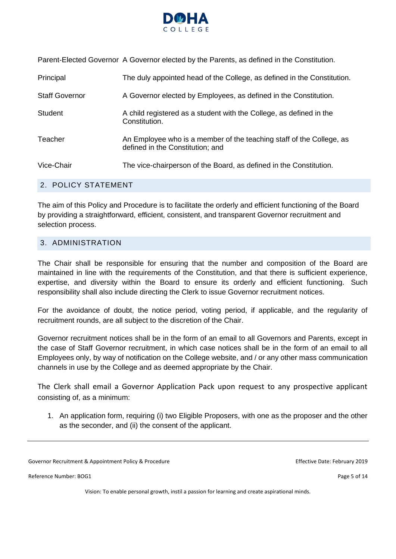

Parent-Elected Governor A Governor elected by the Parents, as defined in the Constitution.

| Principal             | The duly appointed head of the College, as defined in the Constitution.                                  |
|-----------------------|----------------------------------------------------------------------------------------------------------|
| <b>Staff Governor</b> | A Governor elected by Employees, as defined in the Constitution.                                         |
| <b>Student</b>        | A child registered as a student with the College, as defined in the<br>Constitution.                     |
| Teacher               | An Employee who is a member of the teaching staff of the College, as<br>defined in the Constitution; and |
| Vice-Chair            | The vice-chairperson of the Board, as defined in the Constitution.                                       |

#### <span id="page-4-0"></span>2. POLICY STATEMENT

The aim of this Policy and Procedure is to facilitate the orderly and efficient functioning of the Board by providing a straightforward, efficient, consistent, and transparent Governor recruitment and selection process.

#### <span id="page-4-1"></span>3. ADMINISTRATION

The Chair shall be responsible for ensuring that the number and composition of the Board are maintained in line with the requirements of the Constitution, and that there is sufficient experience, expertise, and diversity within the Board to ensure its orderly and efficient functioning. Such responsibility shall also include directing the Clerk to issue Governor recruitment notices.

For the avoidance of doubt, the notice period, voting period, if applicable, and the regularity of recruitment rounds, are all subject to the discretion of the Chair.

Governor recruitment notices shall be in the form of an email to all Governors and Parents, except in the case of Staff Governor recruitment, in which case notices shall be in the form of an email to all Employees only, by way of notification on the College website, and / or any other mass communication channels in use by the College and as deemed appropriate by the Chair.

The Clerk shall email a Governor Application Pack upon request to any prospective applicant consisting of, as a minimum:

1. An application form, requiring (i) two Eligible Proposers, with one as the proposer and the other as the seconder, and (ii) the consent of the applicant.

Governor Recruitment & Appointment Policy & Procedure **Effective Date: February 2019** Effective Date: February 2019

Reference Number: BOG1 Page 5 of 14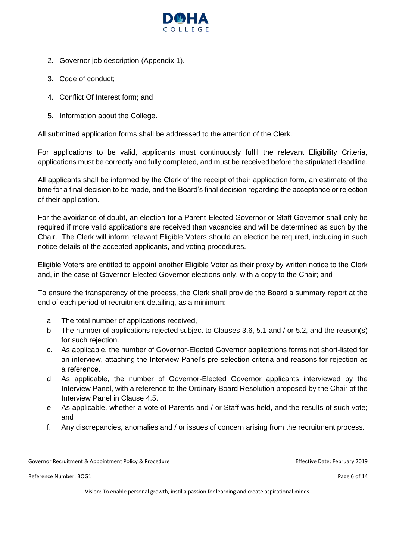

- 2. Governor job description (Appendix 1).
- 3. Code of conduct;
- 4. Conflict Of Interest form; and
- 5. Information about the College.

All submitted application forms shall be addressed to the attention of the Clerk.

For applications to be valid, applicants must continuously fulfil the relevant Eligibility Criteria, applications must be correctly and fully completed, and must be received before the stipulated deadline.

All applicants shall be informed by the Clerk of the receipt of their application form, an estimate of the time for a final decision to be made, and the Board's final decision regarding the acceptance or rejection of their application.

For the avoidance of doubt, an election for a Parent-Elected Governor or Staff Governor shall only be required if more valid applications are received than vacancies and will be determined as such by the Chair. The Clerk will inform relevant Eligible Voters should an election be required, including in such notice details of the accepted applicants, and voting procedures.

Eligible Voters are entitled to appoint another Eligible Voter as their proxy by written notice to the Clerk and, in the case of Governor-Elected Governor elections only, with a copy to the Chair; and

To ensure the transparency of the process, the Clerk shall provide the Board a summary report at the end of each period of recruitment detailing, as a minimum:

- a. The total number of applications received,
- b. The number of applications rejected subject to Clauses 3.6, 5.1 and / or 5.2, and the reason(s) for such rejection.
- c. As applicable, the number of Governor-Elected Governor applications forms not short-listed for an interview, attaching the Interview Panel's pre-selection criteria and reasons for rejection as a reference.
- d. As applicable, the number of Governor-Elected Governor applicants interviewed by the Interview Panel, with a reference to the Ordinary Board Resolution proposed by the Chair of the Interview Panel in Clause 4.5.
- e. As applicable, whether a vote of Parents and / or Staff was held, and the results of such vote; and
- f. Any discrepancies, anomalies and / or issues of concern arising from the recruitment process.

Governor Recruitment & Appointment Policy & Procedure Effective Date: February 2019

Reference Number: BOG1 Page 6 of 14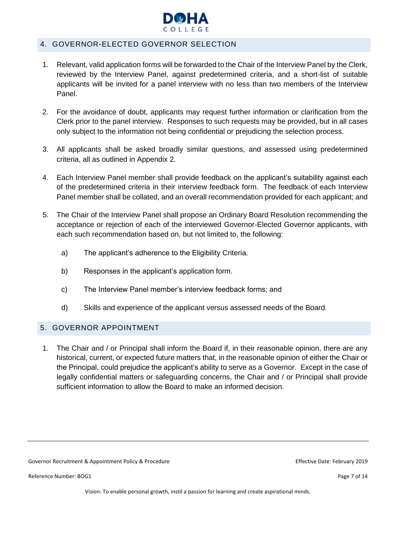

#### <span id="page-6-0"></span>4. GOVERNOR-ELECTED GOVERNOR SELECTION

- 1. Relevant, valid application forms will be forwarded to the Chair of the Interview Panel by the Clerk, reviewed by the Interview Panel, against predetermined criteria, and a short-list of suitable applicants will be invited for a panel interview with no less than two members of the Interview Panel.
- 2. For the avoidance of doubt, applicants may request further information or clarification from the Clerk prior to the panel interview. Responses to such requests may be provided, but in all cases only subject to the information not being confidential or prejudicing the selection process.
- 3. All applicants shall be asked broadly similar questions, and assessed using predetermined criteria, all as outlined in Appendix 2.
- 4. Each Interview Panel member shall provide feedback on the applicant's suitability against each of the predetermined criteria in their interview feedback form. The feedback of each Interview Panel member shall be collated, and an overall recommendation provided for each applicant; and
- 5. The Chair of the Interview Panel shall propose an Ordinary Board Resolution recommending the acceptance or rejection of each of the interviewed Governor-Elected Governor applicants, with each such recommendation based on, but not limited to, the following:
	- a) The applicant's adherence to the Eligibility Criteria.
	- b) Responses in the applicant's application form.
	- c) The Interview Panel member's interview feedback forms; and
	- d) Skills and experience of the applicant versus assessed needs of the Board.

#### <span id="page-6-1"></span>5. GOVERNOR APPOINTMENT

1. The Chair and / or Principal shall inform the Board if, in their reasonable opinion, there are any historical, current, or expected future matters that, in the reasonable opinion of either the Chair or the Principal, could prejudice the applicant's ability to serve as a Governor. Except in the case of legally confidential matters or safeguarding concerns, the Chair and / or Principal shall provide sufficient information to allow the Board to make an informed decision.

Governor Recruitment & Appointment Policy & Procedure **Effective Date: February 2019** Effective Date: February 2019

Reference Number: BOG1 Page 7 of 14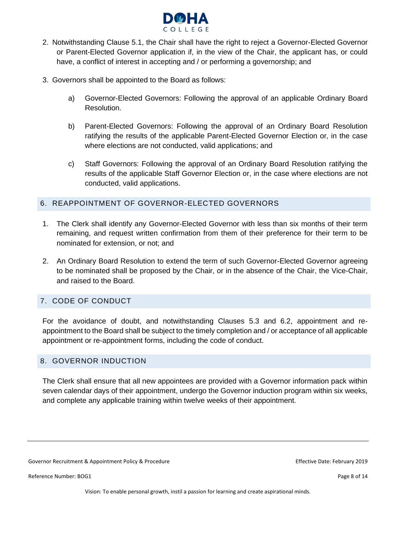

- 2. Notwithstanding Clause 5.1, the Chair shall have the right to reject a Governor-Elected Governor or Parent-Elected Governor application if, in the view of the Chair, the applicant has, or could have, a conflict of interest in accepting and / or performing a governorship; and
- 3. Governors shall be appointed to the Board as follows:
	- a) Governor-Elected Governors: Following the approval of an applicable Ordinary Board Resolution.
	- b) Parent-Elected Governors: Following the approval of an Ordinary Board Resolution ratifying the results of the applicable Parent-Elected Governor Election or, in the case where elections are not conducted, valid applications; and
	- c) Staff Governors: Following the approval of an Ordinary Board Resolution ratifying the results of the applicable Staff Governor Election or, in the case where elections are not conducted, valid applications.

#### <span id="page-7-0"></span>6. REAPPOINTMENT OF GOVERNOR-ELECTED GOVERNORS

- 1. The Clerk shall identify any Governor-Elected Governor with less than six months of their term remaining, and request written confirmation from them of their preference for their term to be nominated for extension, or not; and
- 2. An Ordinary Board Resolution to extend the term of such Governor-Elected Governor agreeing to be nominated shall be proposed by the Chair, or in the absence of the Chair, the Vice-Chair, and raised to the Board.

#### <span id="page-7-1"></span>7. CODE OF CONDUCT

For the avoidance of doubt, and notwithstanding Clauses 5.3 and 6.2, appointment and reappointment to the Board shall be subject to the timely completion and / or acceptance of all applicable appointment or re-appointment forms, including the code of conduct.

#### <span id="page-7-2"></span>8. GOVERNOR INDUCTION

The Clerk shall ensure that all new appointees are provided with a Governor information pack within seven calendar days of their appointment, undergo the Governor induction program within six weeks, and complete any applicable training within twelve weeks of their appointment.

Governor Recruitment & Appointment Policy & Procedure **Effective Date: February 2019** Effective Date: February 2019

Reference Number: BOG1 Page 8 of 14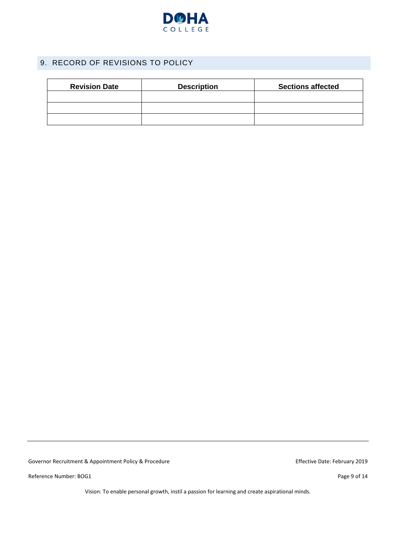

# <span id="page-8-0"></span>9. RECORD OF REVISIONS TO POLICY

| <b>Revision Date</b> | <b>Description</b> | <b>Sections affected</b> |
|----------------------|--------------------|--------------------------|
|                      |                    |                          |
|                      |                    |                          |
|                      |                    |                          |

Governor Recruitment & Appointment Policy & Procedure Effective Date: February 2019

Reference Number: BOG1 Page 9 of 14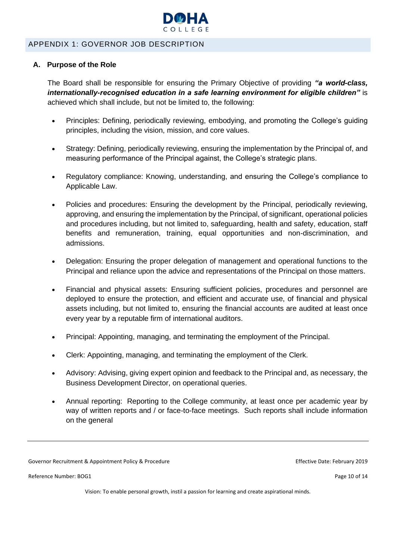

#### <span id="page-9-0"></span>APPENDIX 1: GOVERNOR JOB DESCRIPTION

#### **A. Purpose of the Role**

The Board shall be responsible for ensuring the Primary Objective of providing *"a world-class, internationally-recognised education in a safe learning environment for eligible children"* is achieved which shall include, but not be limited to, the following:

- Principles: Defining, periodically reviewing, embodying, and promoting the College's guiding principles, including the vision, mission, and core values.
- Strategy: Defining, periodically reviewing, ensuring the implementation by the Principal of, and measuring performance of the Principal against, the College's strategic plans.
- Regulatory compliance: Knowing, understanding, and ensuring the College's compliance to Applicable Law.
- Policies and procedures: Ensuring the development by the Principal, periodically reviewing, approving, and ensuring the implementation by the Principal, of significant, operational policies and procedures including, but not limited to, safeguarding, health and safety, education, staff benefits and remuneration, training, equal opportunities and non-discrimination, and admissions.
- Delegation: Ensuring the proper delegation of management and operational functions to the Principal and reliance upon the advice and representations of the Principal on those matters.
- Financial and physical assets: Ensuring sufficient policies, procedures and personnel are deployed to ensure the protection, and efficient and accurate use, of financial and physical assets including, but not limited to, ensuring the financial accounts are audited at least once every year by a reputable firm of international auditors.
- Principal: Appointing, managing, and terminating the employment of the Principal.
- Clerk: Appointing, managing, and terminating the employment of the Clerk.
- Advisory: Advising, giving expert opinion and feedback to the Principal and, as necessary, the Business Development Director, on operational queries.
- Annual reporting: Reporting to the College community, at least once per academic year by way of written reports and / or face-to-face meetings. Such reports shall include information on the general

Governor Recruitment & Appointment Policy & Procedure Effective Date: February 2019

Reference Number: BOG1 Page 10 of 14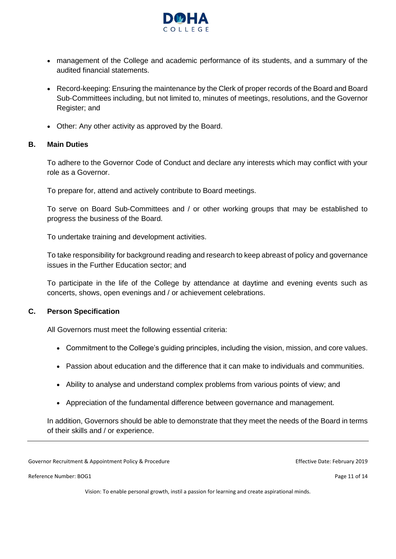

- management of the College and academic performance of its students, and a summary of the audited financial statements.
- Record-keeping: Ensuring the maintenance by the Clerk of proper records of the Board and Board Sub-Committees including, but not limited to, minutes of meetings, resolutions, and the Governor Register; and
- Other: Any other activity as approved by the Board.

#### **B. Main Duties**

To adhere to the Governor Code of Conduct and declare any interests which may conflict with your role as a Governor.

To prepare for, attend and actively contribute to Board meetings.

To serve on Board Sub-Committees and / or other working groups that may be established to progress the business of the Board.

To undertake training and development activities.

To take responsibility for background reading and research to keep abreast of policy and governance issues in the Further Education sector; and

To participate in the life of the College by attendance at daytime and evening events such as concerts, shows, open evenings and / or achievement celebrations.

#### **C. Person Specification**

All Governors must meet the following essential criteria:

- Commitment to the College's guiding principles, including the vision, mission, and core values.
- Passion about education and the difference that it can make to individuals and communities.
- Ability to analyse and understand complex problems from various points of view; and
- Appreciation of the fundamental difference between governance and management.

In addition, Governors should be able to demonstrate that they meet the needs of the Board in terms of their skills and / or experience.

Governor Recruitment & Appointment Policy & Procedure **Effective Date: February 2019** Effective Date: February 2019

Reference Number: BOG1 Page 11 of 14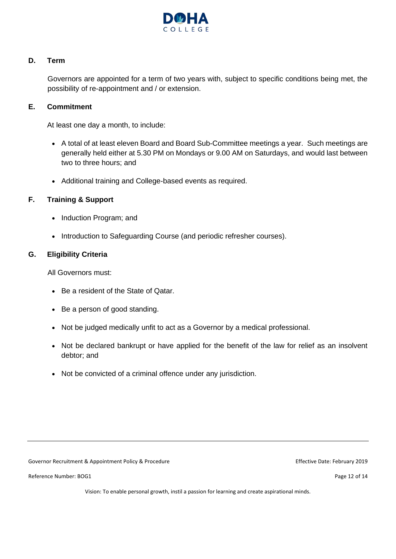

#### **D. Term**

Governors are appointed for a term of two years with, subject to specific conditions being met, the possibility of re-appointment and / or extension.

#### **E. Commitment**

At least one day a month, to include:

- A total of at least eleven Board and Board Sub-Committee meetings a year. Such meetings are generally held either at 5.30 PM on Mondays or 9.00 AM on Saturdays, and would last between two to three hours; and
- Additional training and College-based events as required.

#### **F. Training & Support**

- Induction Program; and
- Introduction to Safeguarding Course (and periodic refresher courses).

#### **G. Eligibility Criteria**

All Governors must:

- Be a resident of the State of Qatar.
- Be a person of good standing.
- Not be judged medically unfit to act as a Governor by a medical professional.
- Not be declared bankrupt or have applied for the benefit of the law for relief as an insolvent debtor; and
- Not be convicted of a criminal offence under any jurisdiction.

Governor Recruitment & Appointment Policy & Procedure **Effective Date: February 2019** Effective Date: February 2019

Reference Number: BOG1 Page 12 of 14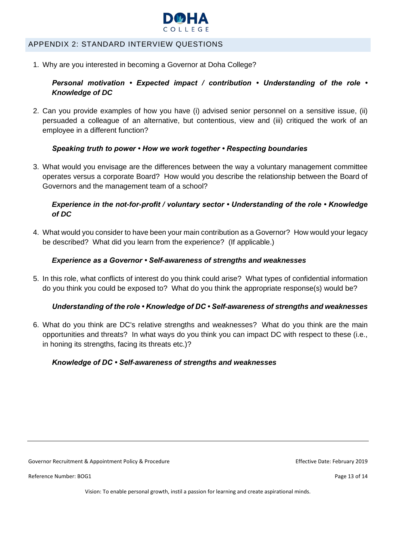

#### <span id="page-12-0"></span>APPENDIX 2: STANDARD INTERVIEW QUESTIONS

1. Why are you interested in becoming a Governor at Doha College?

#### *Personal motivation • Expected impact / contribution • Understanding of the role • Knowledge of DC*

2. Can you provide examples of how you have (i) advised senior personnel on a sensitive issue, (ii) persuaded a colleague of an alternative, but contentious, view and (iii) critiqued the work of an employee in a different function?

#### *Speaking truth to power • How we work together • Respecting boundaries*

3. What would you envisage are the differences between the way a voluntary management committee operates versus a corporate Board? How would you describe the relationship between the Board of Governors and the management team of a school?

#### *Experience in the not-for-profit / voluntary sector • Understanding of the role • Knowledge of DC*

4. What would you consider to have been your main contribution as a Governor? How would your legacy be described? What did you learn from the experience? (If applicable.)

#### *Experience as a Governor • Self-awareness of strengths and weaknesses*

5. In this role, what conflicts of interest do you think could arise? What types of confidential information do you think you could be exposed to? What do you think the appropriate response(s) would be?

#### *Understanding of the role • Knowledge of DC • Self-awareness of strengths and weaknesses*

6. What do you think are DC's relative strengths and weaknesses? What do you think are the main opportunities and threats? In what ways do you think you can impact DC with respect to these (i.e., in honing its strengths, facing its threats etc.)?

#### *Knowledge of DC • Self-awareness of strengths and weaknesses*

Governor Recruitment & Appointment Policy & Procedure **Effective Date: February 2019** Effective Date: February 2019

Reference Number: BOG1 Page 13 of 14